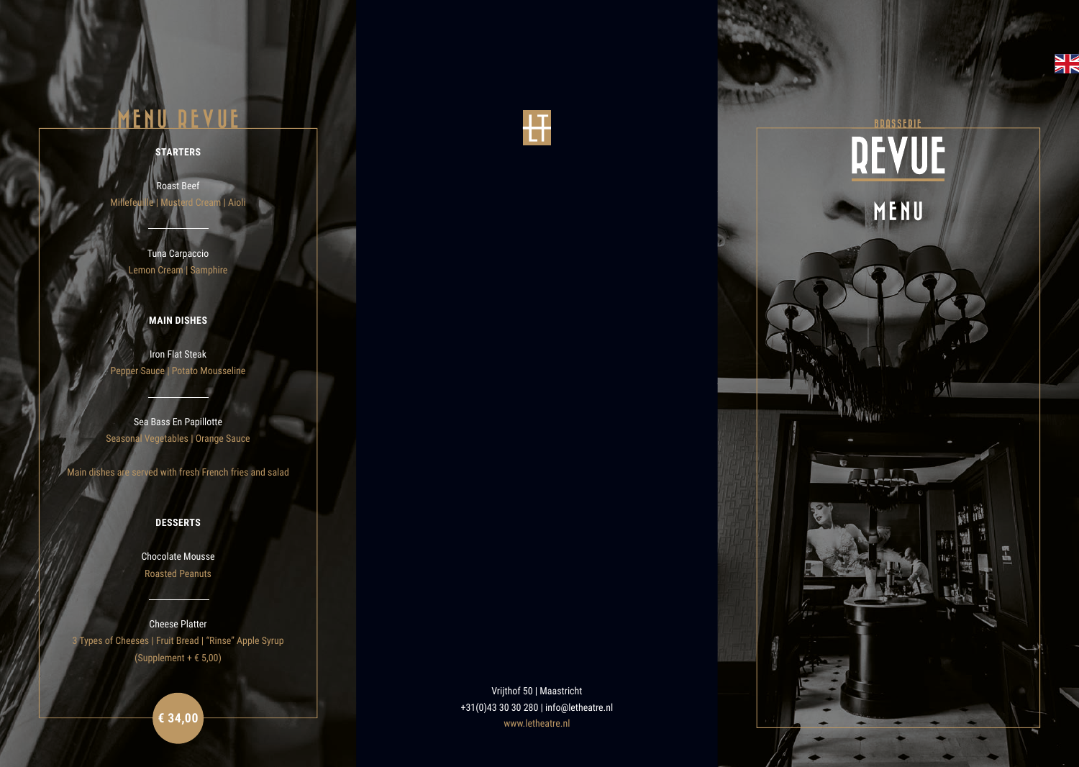# BRASSERIE MENU

WVien

# **MENU REVUE**

# **STARTERS**

Roast Beef Millefeuille | Musterd Cream | Aioli

> Tuna Carpaccio Lemon Cream | Samphire

# **MAIN DISHES**

Iron Flat Steak Pepper Sauce | Potato Mousseline

Cheese Platter 3 Types of Cheeses | Fruit Bread | "Rinse" Apple Syrup (Supplement +  $\epsilon$  5,00)

Sea Bass En Papillotte Seasonal Vegetables | Orange Sauce

Main dishes are served with fresh French fries and salad

Vrijthof 50 | Maastricht +31(0)43 30 30 280 | info@letheatre.nl € 34,00 **€** 34,00 **F** 34,00 **F** 34,00 **F** 34,00 **F** 34,00 **F** 34,00 **F** 34,00 **F** 34,00 **F** 34,00 **F** 34,00 **F** 34





 $\frac{6}{10}$ 

## **DESSERTS**

Chocolate Mousse Roasted Peanuts